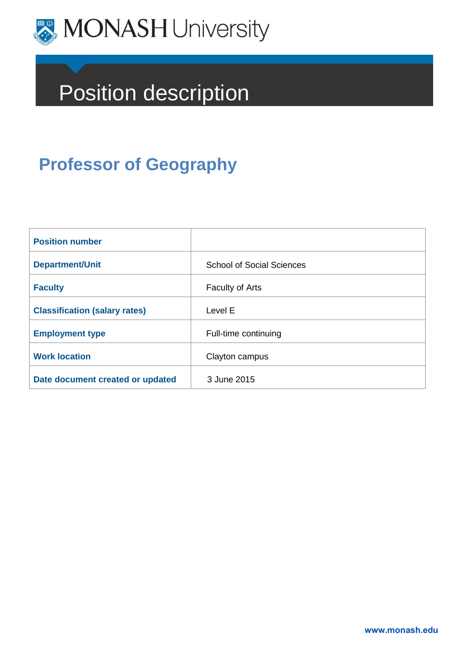

# Position description

# **Professor of Geography**

| <b>Position number</b>               |                                  |
|--------------------------------------|----------------------------------|
| <b>Department/Unit</b>               | <b>School of Social Sciences</b> |
| <b>Faculty</b>                       | <b>Faculty of Arts</b>           |
| <b>Classification (salary rates)</b> | Level E                          |
| <b>Employment type</b>               | Full-time continuing             |
| <b>Work location</b>                 | Clayton campus                   |
| Date document created or updated     | 3 June 2015                      |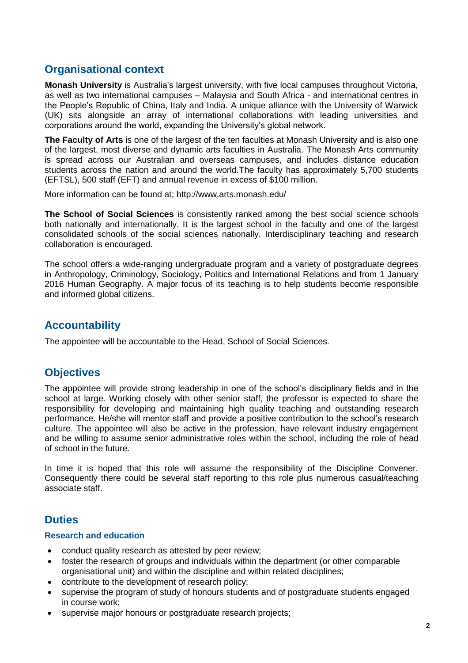# **Organisational context**

**Monash University** is Australia's largest university, with five local campuses throughout Victoria, as well as two international campuses – Malaysia and South Africa - and international centres in the People's Republic of China, Italy and India. A unique alliance with the University of Warwick (UK) sits alongside an array of international collaborations with leading universities and corporations around the world, expanding the University's global network.

**The Faculty of Arts** is one of the largest of the ten faculties at Monash University and is also one of the largest, most diverse and dynamic arts faculties in Australia. The Monash Arts community is spread across our Australian and overseas campuses, and includes distance education students across the nation and around the world.The faculty has approximately 5,700 students (EFTSL), 500 staff (EFT) and annual revenue in excess of \$100 million.

More information can be found at; http://www.arts.monash.edu/

**The School of Social Sciences** is consistently ranked among the best social science schools both nationally and internationally. It is the largest school in the faculty and one of the largest consolidated schools of the social sciences nationally. Interdisciplinary teaching and research collaboration is encouraged.

The school offers a wide-ranging undergraduate program and a variety of postgraduate degrees in Anthropology, Criminology, Sociology, Politics and International Relations and from 1 January 2016 Human Geography. A major focus of its teaching is to help students become responsible and informed global citizens.

# **Accountability**

The appointee will be accountable to the Head, School of Social Sciences.

# **Objectives**

The appointee will provide strong leadership in one of the school's disciplinary fields and in the school at large. Working closely with other senior staff, the professor is expected to share the responsibility for developing and maintaining high quality teaching and outstanding research performance. He/she will mentor staff and provide a positive contribution to the school's research culture. The appointee will also be active in the profession, have relevant industry engagement and be willing to assume senior administrative roles within the school, including the role of head of school in the future.

In time it is hoped that this role will assume the responsibility of the Discipline Convener. Consequently there could be several staff reporting to this role plus numerous casual/teaching associate staff.

# **Duties**

#### **Research and education**

- conduct quality research as attested by peer review;
- foster the research of groups and individuals within the department (or other comparable organisational unit) and within the discipline and within related disciplines;
- contribute to the development of research policy;
- supervise the program of study of honours students and of postgraduate students engaged in course work;
- supervise major honours or postgraduate research projects;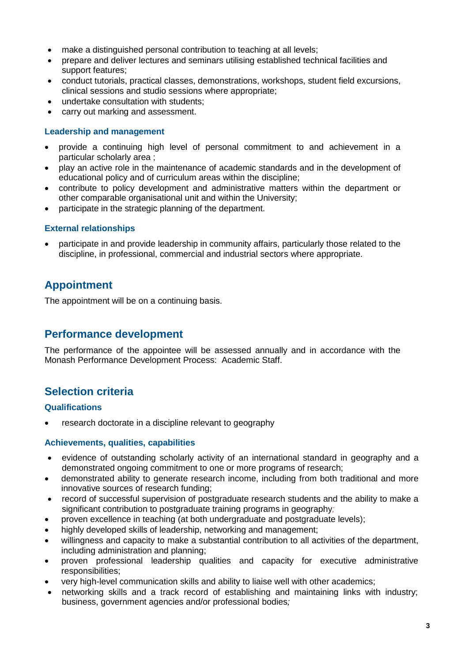- make a distinguished personal contribution to teaching at all levels;
- prepare and deliver lectures and seminars utilising established technical facilities and support features;
- conduct tutorials, practical classes, demonstrations, workshops, student field excursions, clinical sessions and studio sessions where appropriate;
- undertake consultation with students;
- carry out marking and assessment.

#### **Leadership and management**

- provide a continuing high level of personal commitment to and achievement in a particular scholarly area ;
- play an active role in the maintenance of academic standards and in the development of educational policy and of curriculum areas within the discipline;
- contribute to policy development and administrative matters within the department or other comparable organisational unit and within the University;
- participate in the strategic planning of the department.

#### **External relationships**

 participate in and provide leadership in community affairs, particularly those related to the discipline, in professional, commercial and industrial sectors where appropriate.

# **Appointment**

The appointment will be on a continuing basis.

# **Performance development**

The performance of the appointee will be assessed annually and in accordance with the Monash Performance Development Process: Academic Staff.

# **Selection criteria**

#### **Qualifications**

research doctorate in a discipline relevant to geography

#### **Achievements, qualities, capabilities**

- evidence of outstanding scholarly activity of an international standard in geography and a demonstrated ongoing commitment to one or more programs of research;
- demonstrated ability to generate research income, including from both traditional and more innovative sources of research funding;
- record of successful supervision of postgraduate research students and the ability to make a significant contribution to postgraduate training programs in geography*;*
- proven excellence in teaching (at both undergraduate and postgraduate levels);
- highly developed skills of leadership, networking and management;
- willingness and capacity to make a substantial contribution to all activities of the department, including administration and planning;
- proven professional leadership qualities and capacity for executive administrative responsibilities;
- very high-level communication skills and ability to liaise well with other academics;
- networking skills and a track record of establishing and maintaining links with industry; business, government agencies and/or professional bodies*;*